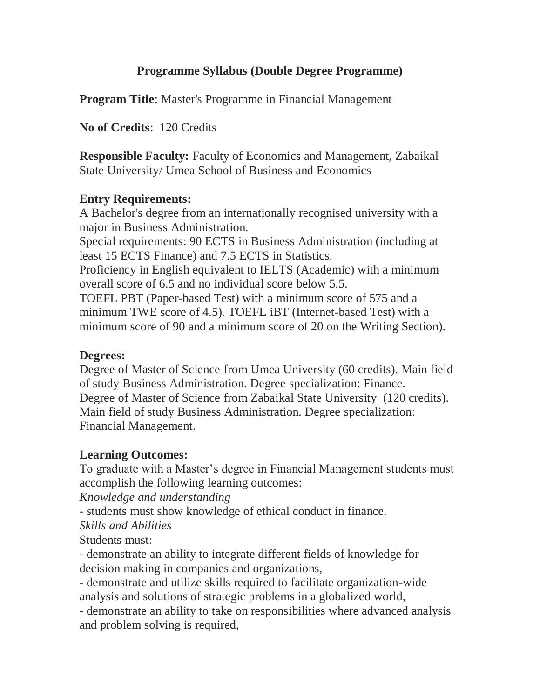# **Programme Syllabus (Double Degree Programme)**

**Program Title**: Master's Programme in Financial Management

**No of Credits**: 120 Credits

**Responsible Faculty:** Faculty of Economics and Management, Zabaikal State University/ Umea School of Business and Economics

### **Entry Requirements:**

A Bachelor's degree from an internationally recognised university with a major in Business Administration.

Special requirements: 90 ECTS in Business Administration (including at least 15 ECTS Finance) and 7.5 ECTS in Statistics.

Proficiency in English equivalent to IELTS (Academic) with a minimum overall score of 6.5 and no individual score below 5.5.

TOEFL PBT (Paper-based Test) with a minimum score of 575 and a minimum TWE score of 4.5). TOEFL iBT (Internet-based Test) with a minimum score of 90 and a minimum score of 20 on the Writing Section).

#### **Degrees:**

Degree of Master of Science from Umea University (60 credits). Main field of study Business Administration. Degree specialization: Finance. Degree of Master of Science from Zabaikal State University (120 credits). Main field of study Business Administration. Degree specialization: Financial Management.

## **Learning Outcomes:**

To graduate with a Master's degree in Financial Management students must accomplish the following learning outcomes:

*Knowledge and understanding*

- students must show knowledge of ethical conduct in finance.

*Skills and Abilities*

Students must:

- demonstrate an ability to integrate different fields of knowledge for decision making in companies and organizations,

- demonstrate and utilize skills required to facilitate organization-wide analysis and solutions of strategic problems in a globalized world,

- demonstrate an ability to take on responsibilities where advanced analysis and problem solving is required,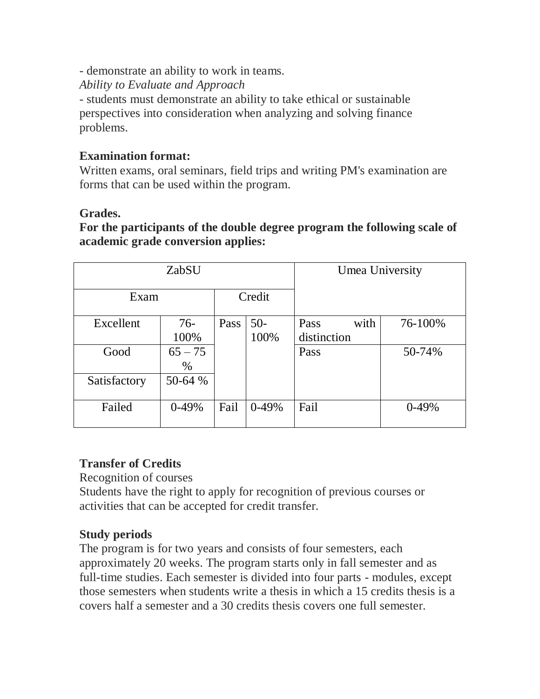- demonstrate an ability to work in teams.

*Ability to Evaluate and Approach*

- students must demonstrate an ability to take ethical or sustainable perspectives into consideration when analyzing and solving finance problems.

### **Examination format:**

Written exams, oral seminars, field trips and writing PM's examination are forms that can be used within the program.

### **Grades.**

**For the participants of the double degree program the following scale of academic grade conversion applies:**

| ZabSU        |           |        |         | Umea University |         |
|--------------|-----------|--------|---------|-----------------|---------|
| Exam         |           | Credit |         |                 |         |
| Excellent    | $76-$     | Pass   | $50-$   | with<br>Pass    | 76-100% |
|              | 100%      |        | 100%    | distinction     |         |
| Good         | $65 - 75$ |        |         | Pass            | 50-74%  |
|              | $\%$      |        |         |                 |         |
| Satisfactory | 50-64 %   |        |         |                 |         |
|              |           |        |         |                 |         |
| Failed       | $0-49%$   | Fail   | $0-49%$ | Fail            | $0-49%$ |
|              |           |        |         |                 |         |

## **Transfer of Credits**

Recognition of courses

Students have the right to apply for recognition of previous courses or activities that can be accepted for credit transfer.

## **Study periods**

The program is for two years and consists of four semesters, each approximately 20 weeks. The program starts only in fall semester and as full-time studies. Each semester is divided into four parts - modules, except those semesters when students write a thesis in which a 15 credits thesis is a covers half a semester and a 30 credits thesis covers one full semester.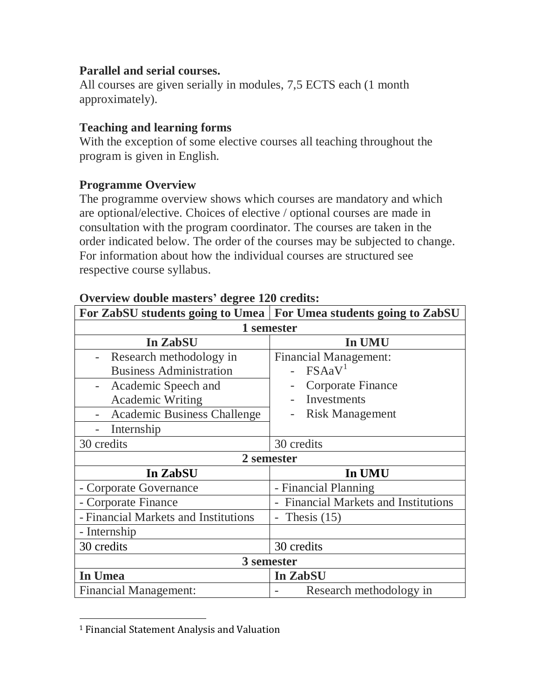## **Parallel and serial courses.**

All courses are given serially in modules, 7,5 ECTS each (1 month approximately).

## **Teaching and learning forms**

With the exception of some elective courses all teaching throughout the program is given in English.

### **Programme Overview**

The programme overview shows which courses are mandatory and which are optional/elective. Choices of elective / optional courses are made in consultation with the program coordinator. The courses are taken in the order indicated below. The order of the courses may be subjected to change. For information about how the individual courses are structured see respective course syllabus.

|                                      | For ZabSU students going to Umea   For Umea students going to ZabSU |  |  |  |
|--------------------------------------|---------------------------------------------------------------------|--|--|--|
| 1 semester                           |                                                                     |  |  |  |
| In ZabSU                             | In UMU                                                              |  |  |  |
| Research methodology in              | <b>Financial Management:</b>                                        |  |  |  |
| <b>Business Administration</b>       | FSAaV <sup>1</sup>                                                  |  |  |  |
| Academic Speech and                  | Corporate Finance                                                   |  |  |  |
| <b>Academic Writing</b>              | Investments                                                         |  |  |  |
| <b>Academic Business Challenge</b>   | <b>Risk Management</b>                                              |  |  |  |
| Internship                           |                                                                     |  |  |  |
| 30 credits                           | 30 credits                                                          |  |  |  |
| 2 semester                           |                                                                     |  |  |  |
| In ZabSU                             | In UMU                                                              |  |  |  |
| - Corporate Governance               | - Financial Planning                                                |  |  |  |
| - Corporate Finance                  | <b>Financial Markets and Institutions</b>                           |  |  |  |
| - Financial Markets and Institutions | Thesis $(15)$<br>$\overline{\phantom{0}}$                           |  |  |  |
| - Internship                         |                                                                     |  |  |  |
| 30 credits                           | 30 credits                                                          |  |  |  |
| 3 semester                           |                                                                     |  |  |  |
| In Umea                              | In ZabSU                                                            |  |  |  |
| <b>Financial Management:</b>         | Research methodology in                                             |  |  |  |

#### **Overview double masters' degree 120 credits:**

l

<sup>1</sup> Financial Statement Analysis and Valuation